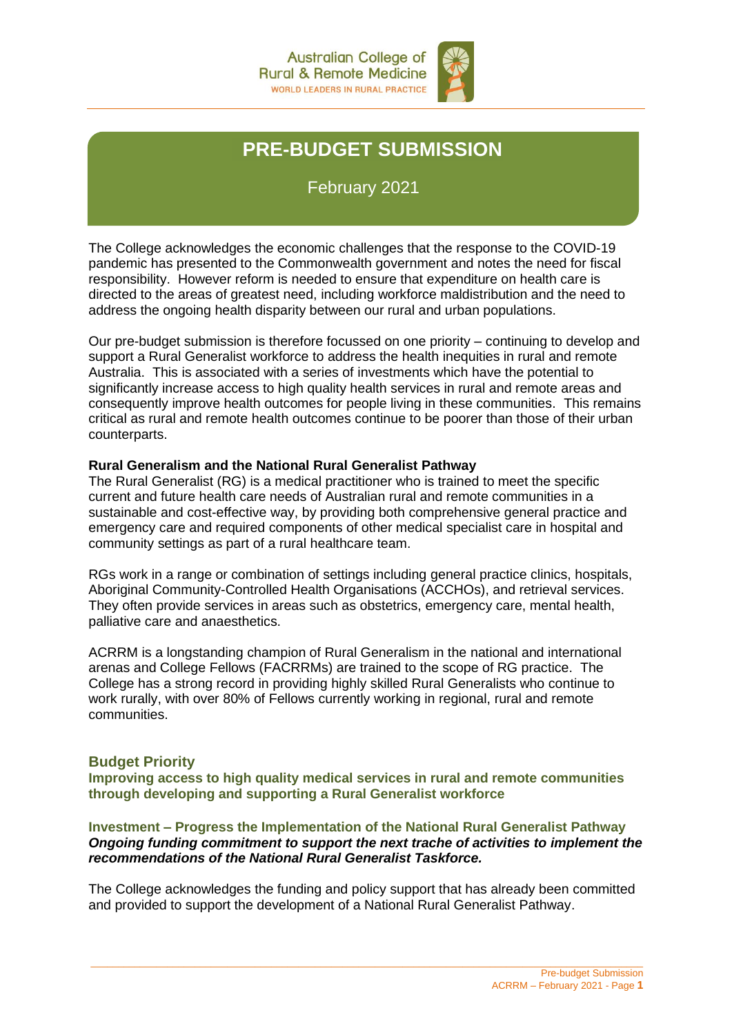

# **PRE-BUDGET SUBMISSION**

February 2021

The College acknowledges the economic challenges that the response to the COVID-19 pandemic has presented to the Commonwealth government and notes the need for fiscal responsibility. However reform is needed to ensure that expenditure on health care is directed to the areas of greatest need, including workforce maldistribution and the need to address the ongoing health disparity between our rural and urban populations.

Our pre-budget submission is therefore focussed on one priority – continuing to develop and support a Rural Generalist workforce to address the health inequities in rural and remote Australia. This is associated with a series of investments which have the potential to significantly increase access to high quality health services in rural and remote areas and consequently improve health outcomes for people living in these communities. This remains critical as rural and remote health outcomes continue to be poorer than those of their urban counterparts.

## **Rural Generalism and the National Rural Generalist Pathway**

The Rural Generalist (RG) is a medical practitioner who is trained to meet the specific current and future health care needs of Australian rural and remote communities in a sustainable and cost-effective way, by providing both comprehensive general practice and emergency care and required components of other medical specialist care in hospital and community settings as part of a rural healthcare team.

RGs work in a range or combination of settings including general practice clinics, hospitals, Aboriginal Community-Controlled Health Organisations (ACCHOs), and retrieval services. They often provide services in areas such as obstetrics, emergency care, mental health, palliative care and anaesthetics.

ACRRM is a longstanding champion of Rural Generalism in the national and international arenas and College Fellows (FACRRMs) are trained to the scope of RG practice. The College has a strong record in providing highly skilled Rural Generalists who continue to work rurally, with over 80% of Fellows currently working in regional, rural and remote communities.

## **Budget Priority**

**Improving access to high quality medical services in rural and remote communities through developing and supporting a Rural Generalist workforce**

#### **Investment – Progress the Implementation of the National Rural Generalist Pathway** *Ongoing funding commitment to support the next trache of activities to implement the recommendations of the National Rural Generalist Taskforce.*

The College acknowledges the funding and policy support that has already been committed and provided to support the development of a National Rural Generalist Pathway.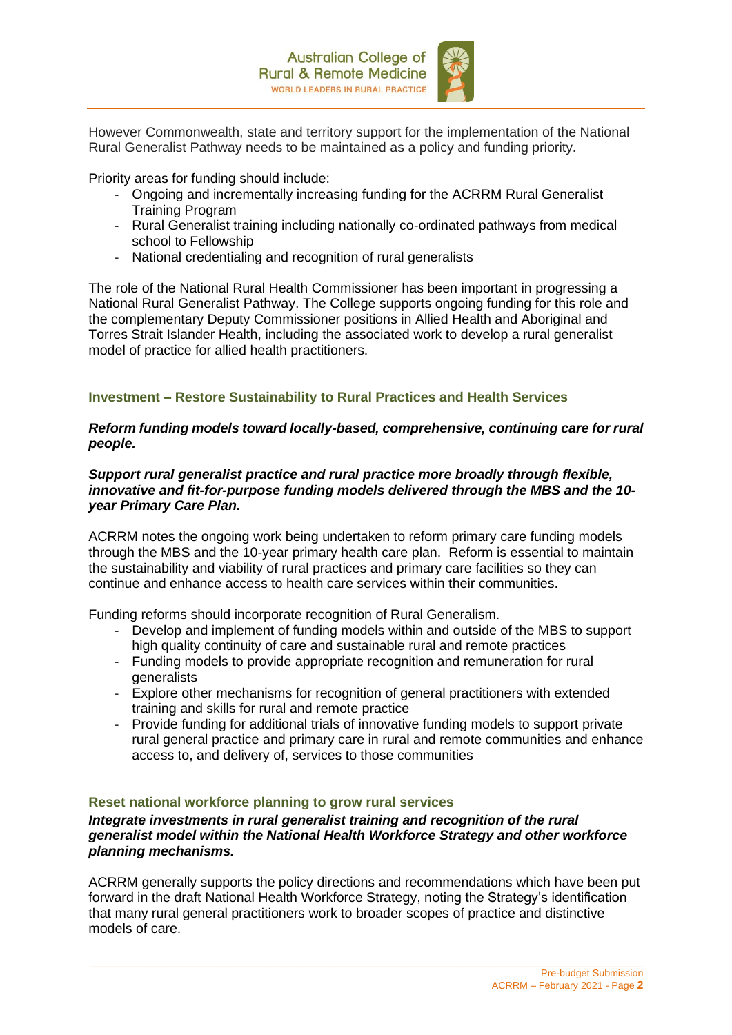

However Commonwealth, state and territory support for the implementation of the National Rural Generalist Pathway needs to be maintained as a policy and funding priority.

Priority areas for funding should include:

- Ongoing and incrementally increasing funding for the ACRRM Rural Generalist Training Program
- Rural Generalist training including nationally co-ordinated pathways from medical school to Fellowship
- National credentialing and recognition of rural generalists

The role of the National Rural Health Commissioner has been important in progressing a National Rural Generalist Pathway. The College supports ongoing funding for this role and the complementary Deputy Commissioner positions in Allied Health and Aboriginal and Torres Strait Islander Health, including the associated work to develop a rural generalist model of practice for allied health practitioners.

#### **Investment – Restore Sustainability to Rural Practices and Health Services**

#### *Reform funding models toward locally-based, comprehensive, continuing care for rural people.*

#### *Support rural generalist practice and rural practice more broadly through flexible, innovative and fit-for-purpose funding models delivered through the MBS and the 10 year Primary Care Plan.*

ACRRM notes the ongoing work being undertaken to reform primary care funding models through the MBS and the 10-year primary health care plan. Reform is essential to maintain the sustainability and viability of rural practices and primary care facilities so they can continue and enhance access to health care services within their communities.

Funding reforms should incorporate recognition of Rural Generalism.

- Develop and implement of funding models within and outside of the MBS to support high quality continuity of care and sustainable rural and remote practices
- Funding models to provide appropriate recognition and remuneration for rural generalists
- Explore other mechanisms for recognition of general practitioners with extended training and skills for rural and remote practice
- Provide funding for additional trials of innovative funding models to support private rural general practice and primary care in rural and remote communities and enhance access to, and delivery of, services to those communities

#### **Reset national workforce planning to grow rural services**

*Integrate investments in rural generalist training and recognition of the rural generalist model within the National Health Workforce Strategy and other workforce planning mechanisms.*

ACRRM generally supports the policy directions and recommendations which have been put forward in the draft National Health Workforce Strategy, noting the Strategy's identification that many rural general practitioners work to broader scopes of practice and distinctive models of care.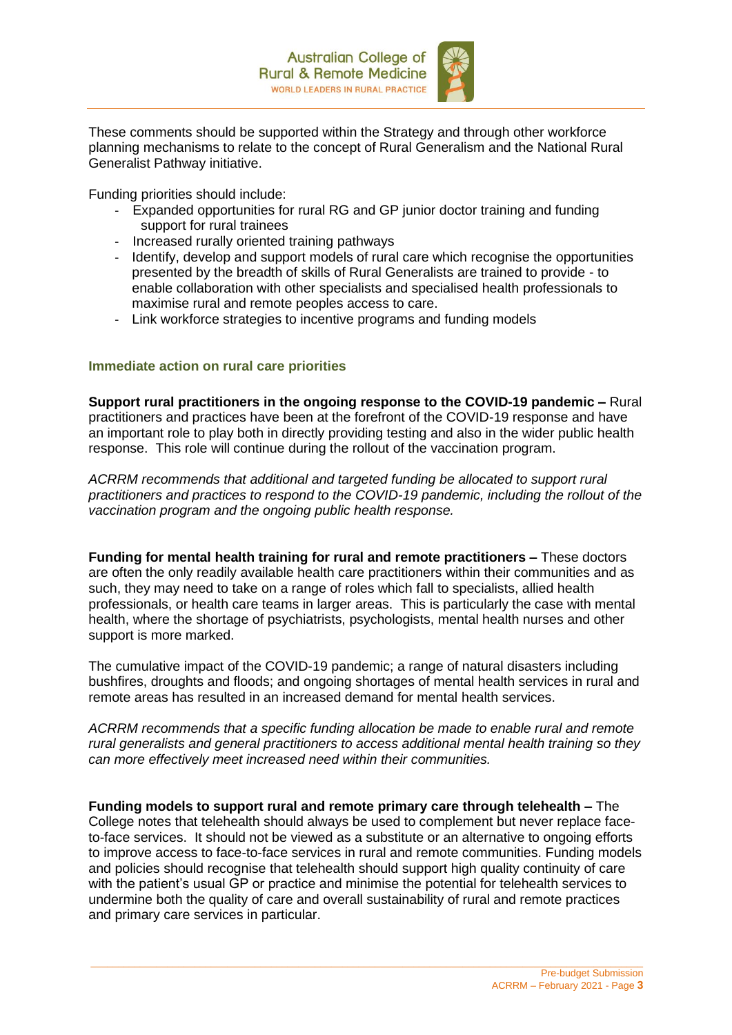

These comments should be supported within the Strategy and through other workforce planning mechanisms to relate to the concept of Rural Generalism and the National Rural Generalist Pathway initiative.

Funding priorities should include:

- Expanded opportunities for rural RG and GP junior doctor training and funding support for rural trainees
- Increased rurally oriented training pathways
- Identify, develop and support models of rural care which recognise the opportunities presented by the breadth of skills of Rural Generalists are trained to provide - to enable collaboration with other specialists and specialised health professionals to maximise rural and remote peoples access to care.
- Link workforce strategies to incentive programs and funding models

## **Immediate action on rural care priorities**

**Support rural practitioners in the ongoing response to the COVID-19 pandemic –** Rural practitioners and practices have been at the forefront of the COVID-19 response and have an important role to play both in directly providing testing and also in the wider public health response. This role will continue during the rollout of the vaccination program.

*ACRRM recommends that additional and targeted funding be allocated to support rural practitioners and practices to respond to the COVID-19 pandemic, including the rollout of the vaccination program and the ongoing public health response.*

**Funding for mental health training for rural and remote practitioners –** These doctors are often the only readily available health care practitioners within their communities and as such, they may need to take on a range of roles which fall to specialists, allied health professionals, or health care teams in larger areas. This is particularly the case with mental health, where the shortage of psychiatrists, psychologists, mental health nurses and other support is more marked.

The cumulative impact of the COVID-19 pandemic; a range of natural disasters including bushfires, droughts and floods; and ongoing shortages of mental health services in rural and remote areas has resulted in an increased demand for mental health services.

*ACRRM recommends that a specific funding allocation be made to enable rural and remote rural generalists and general practitioners to access additional mental health training so they can more effectively meet increased need within their communities.*

**Funding models to support rural and remote primary care through telehealth –** The College notes that telehealth should always be used to complement but never replace faceto-face services. It should not be viewed as a substitute or an alternative to ongoing efforts to improve access to face-to-face services in rural and remote communities. Funding models and policies should recognise that telehealth should support high quality continuity of care with the patient's usual GP or practice and minimise the potential for telehealth services to undermine both the quality of care and overall sustainability of rural and remote practices and primary care services in particular.